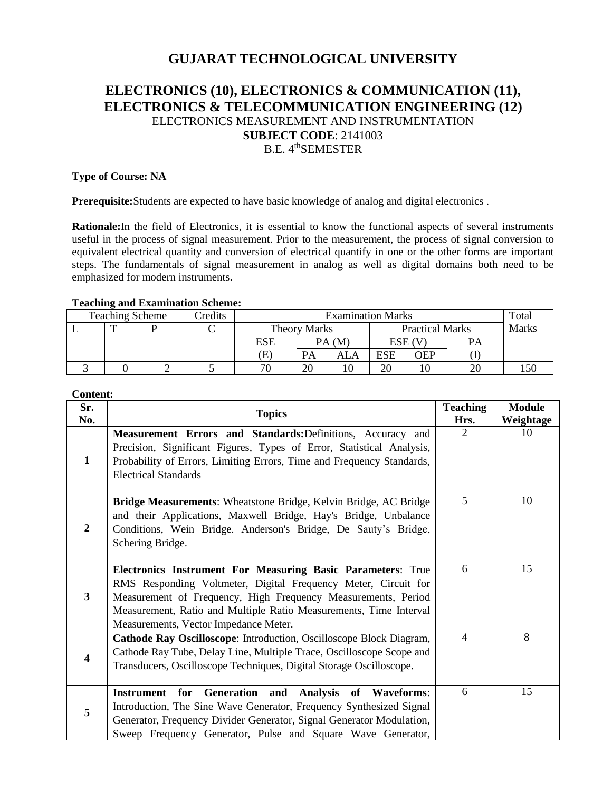# **GUJARAT TECHNOLOGICAL UNIVERSITY**

# **ELECTRONICS (10), ELECTRONICS & COMMUNICATION (11), ELECTRONICS & TELECOMMUNICATION ENGINEERING (12)** ELECTRONICS MEASUREMENT AND INSTRUMENTATION **SUBJECT CODE**: 2141003 B.E. 4<sup>th</sup>SEMESTER

## **Type of Course: NA**

**Prerequisite:**Students are expected to have basic knowledge of analog and digital electronics .

**Rationale:**In the field of Electronics, it is essential to know the functional aspects of several instruments useful in the process of signal measurement. Prior to the measurement, the process of signal conversion to equivalent electrical quantity and conversion of electrical quantify in one or the other forms are important steps. The fundamentals of signal measurement in analog as well as digital domains both need to be emphasized for modern instruments.

#### **Teaching and Examination Scheme:**

| <b>Teaching Scheme</b> |  |  | Credits | <b>Examination Marks</b> |       |                        |            | Total |    |  |
|------------------------|--|--|---------|--------------------------|-------|------------------------|------------|-------|----|--|
|                        |  |  |         | <b>Theory Marks</b>      |       | <b>Practical Marks</b> |            | Marks |    |  |
|                        |  |  |         | <b>ESE</b>               | PA(M) |                        | ESE (V     |       | PА |  |
|                        |  |  |         | Œ)                       | PA    | ALA                    | <b>ESE</b> | OEP   |    |  |
|                        |  |  |         | 70                       | 20    |                        | 20         | ΙU    | 20 |  |

#### **Content:**

| Sr.<br>No.     | <b>Topics</b>                                                                                                                                                                                                                                                                                                | <b>Teaching</b><br>Hrs. | <b>Module</b><br>Weightage |
|----------------|--------------------------------------------------------------------------------------------------------------------------------------------------------------------------------------------------------------------------------------------------------------------------------------------------------------|-------------------------|----------------------------|
| $\mathbf{1}$   | Measurement Errors and Standards: Definitions, Accuracy and<br>Precision, Significant Figures, Types of Error, Statistical Analysis,<br>Probability of Errors, Limiting Errors, Time and Frequency Standards,<br><b>Electrical Standards</b>                                                                 | 2                       | 10                         |
| $\overline{2}$ | Bridge Measurements: Wheatstone Bridge, Kelvin Bridge, AC Bridge<br>and their Applications, Maxwell Bridge, Hay's Bridge, Unbalance<br>Conditions, Wein Bridge. Anderson's Bridge, De Sauty's Bridge,<br>Schering Bridge.                                                                                    | 5                       | 10                         |
| $\mathbf{3}$   | Electronics Instrument For Measuring Basic Parameters: True<br>RMS Responding Voltmeter, Digital Frequency Meter, Circuit for<br>Measurement of Frequency, High Frequency Measurements, Period<br>Measurement, Ratio and Multiple Ratio Measurements, Time Interval<br>Measurements, Vector Impedance Meter. | 6                       | 15                         |
| 4              | <b>Cathode Ray Oscilloscope:</b> Introduction, Oscilloscope Block Diagram,<br>Cathode Ray Tube, Delay Line, Multiple Trace, Oscilloscope Scope and<br>Transducers, Oscilloscope Techniques, Digital Storage Oscilloscope.                                                                                    | $\overline{4}$          | 8                          |
| 5              | Instrument for Generation and Analysis of Waveforms:<br>Introduction, The Sine Wave Generator, Frequency Synthesized Signal<br>Generator, Frequency Divider Generator, Signal Generator Modulation,<br>Sweep Frequency Generator, Pulse and Square Wave Generator,                                           | 6                       | 15                         |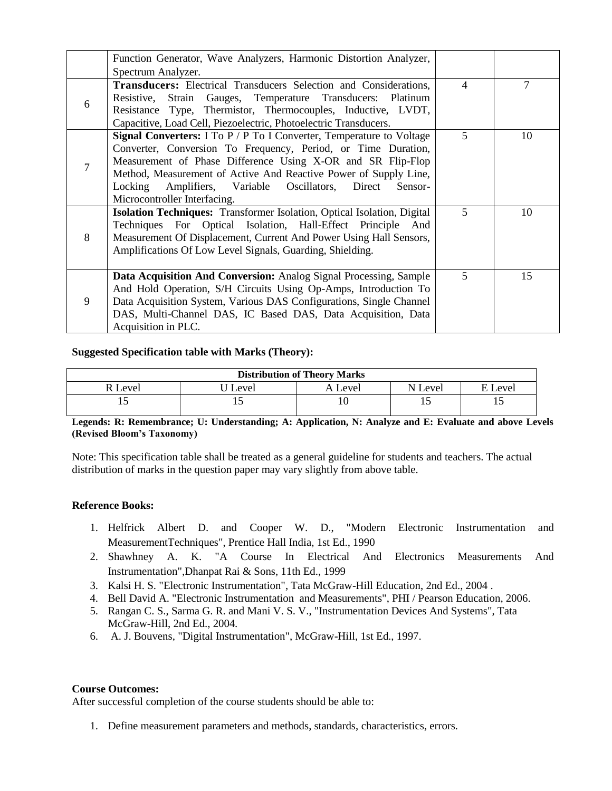|                | Function Generator, Wave Analyzers, Harmonic Distortion Analyzer,<br>Spectrum Analyzer.                                                                                                                                                                                                                                                                                           |   |    |
|----------------|-----------------------------------------------------------------------------------------------------------------------------------------------------------------------------------------------------------------------------------------------------------------------------------------------------------------------------------------------------------------------------------|---|----|
| 6              | <b>Transducers:</b> Electrical Transducers Selection and Considerations,<br>Resistive, Strain Gauges, Temperature Transducers: Platinum<br>Resistance Type, Thermistor, Thermocouples, Inductive, LVDT,<br>Capacitive, Load Cell, Piezoelectric, Photoelectric Transducers.                                                                                                       | 4 | 7  |
| $\overline{7}$ | <b>Signal Converters:</b> I To P / P To I Converter, Temperature to Voltage<br>Converter, Conversion To Frequency, Period, or Time Duration,<br>Measurement of Phase Difference Using X-OR and SR Flip-Flop<br>Method, Measurement of Active And Reactive Power of Supply Line,<br>Amplifiers, Variable Oscillators, Direct<br>Locking<br>Sensor-<br>Microcontroller Interfacing. | 5 | 10 |
| 8              | <b>Isolation Techniques:</b> Transformer Isolation, Optical Isolation, Digital<br>Techniques For Optical Isolation, Hall-Effect Principle And<br>Measurement Of Displacement, Current And Power Using Hall Sensors,<br>Amplifications Of Low Level Signals, Guarding, Shielding.                                                                                                  | 5 | 10 |
| 9              | Data Acquisition And Conversion: Analog Signal Processing, Sample<br>And Hold Operation, S/H Circuits Using Op-Amps, Introduction To<br>Data Acquisition System, Various DAS Configurations, Single Channel<br>DAS, Multi-Channel DAS, IC Based DAS, Data Acquisition, Data<br>Acquisition in PLC.                                                                                | 5 | 15 |

### **Suggested Specification table with Marks (Theory):**

| <b>Distribution of Theory Marks</b> |       |         |         |             |  |  |
|-------------------------------------|-------|---------|---------|-------------|--|--|
| l Level                             | Level | Level ، | N Level | Level<br>E. |  |  |
| . .                                 |       | 10      |         |             |  |  |

**Legends: R: Remembrance; U: Understanding; A: Application, N: Analyze and E: Evaluate and above Levels (Revised Bloom's Taxonomy)**

Note: This specification table shall be treated as a general guideline for students and teachers. The actual distribution of marks in the question paper may vary slightly from above table.

#### **Reference Books:**

- 1. Helfrick Albert D. and Cooper W. D., "Modern Electronic Instrumentation and MeasurementTechniques", Prentice Hall India, 1st Ed., 1990
- 2. Shawhney A. K. "A Course In Electrical And Electronics Measurements And Instrumentation",Dhanpat Rai & Sons, 11th Ed., 1999
- 3. Kalsi H. S. "Electronic Instrumentation", Tata McGraw-Hill Education, 2nd Ed., 2004 .
- 4. Bell David A. "Electronic Instrumentation and Measurements", PHI / Pearson Education, 2006.
- 5. Rangan C. S., Sarma G. R. and Mani V. S. V., "Instrumentation Devices And Systems", Tata McGraw-Hill, 2nd Ed., 2004.
- 6. A. J. Bouvens, "Digital Instrumentation", McGraw-Hill, 1st Ed., 1997.

### **Course Outcomes:**

After successful completion of the course students should be able to:

1. Define measurement parameters and methods, standards, characteristics, errors.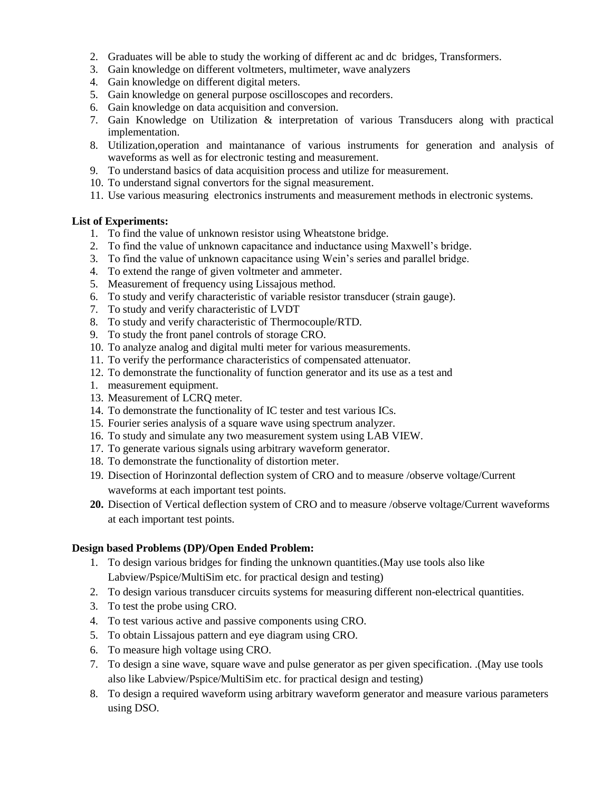- 2. Graduates will be able to study the working of different ac and dc bridges, Transformers.
- 3. Gain knowledge on different voltmeters, multimeter, wave analyzers
- 4. Gain knowledge on different digital meters.
- 5. Gain knowledge on general purpose oscilloscopes and recorders.
- 6. Gain knowledge on data acquisition and conversion.
- 7. Gain Knowledge on Utilization & interpretation of various Transducers along with practical implementation.
- 8. Utilization,operation and maintanance of various instruments for generation and analysis of waveforms as well as for electronic testing and measurement.
- 9. To understand basics of data acquisition process and utilize for measurement.
- 10. To understand signal convertors for the signal measurement.
- 11. Use various measuring electronics instruments and measurement methods in electronic systems.

#### **List of Experiments:**

- 1. To find the value of unknown resistor using Wheatstone bridge.
- 2. To find the value of unknown capacitance and inductance using Maxwell's bridge.
- 3. To find the value of unknown capacitance using Wein's series and parallel bridge.
- 4. To extend the range of given voltmeter and ammeter.
- 5. Measurement of frequency using Lissajous method.
- 6. To study and verify characteristic of variable resistor transducer (strain gauge).
- 7. To study and verify characteristic of LVDT
- 8. To study and verify characteristic of Thermocouple/RTD.
- 9. To study the front panel controls of storage CRO.
- 10. To analyze analog and digital multi meter for various measurements.
- 11. To verify the performance characteristics of compensated attenuator.
- 12. To demonstrate the functionality of function generator and its use as a test and
- 1. measurement equipment.
- 13. Measurement of LCRQ meter.
- 14. To demonstrate the functionality of IC tester and test various ICs.
- 15. Fourier series analysis of a square wave using spectrum analyzer.
- 16. To study and simulate any two measurement system using LAB VIEW.
- 17. To generate various signals using arbitrary waveform generator.
- 18. To demonstrate the functionality of distortion meter.
- 19. Disection of Horinzontal deflection system of CRO and to measure /observe voltage/Current waveforms at each important test points.
- **20.** Disection of Vertical deflection system of CRO and to measure /observe voltage/Current waveforms at each important test points.

#### **Design based Problems (DP)/Open Ended Problem:**

- 1. To design various bridges for finding the unknown quantities.(May use tools also like Labview/Pspice/MultiSim etc. for practical design and testing)
- 2. To design various transducer circuits systems for measuring different non-electrical quantities.
- 3. To test the probe using CRO.
- 4. To test various active and passive components using CRO.
- 5. To obtain Lissajous pattern and eye diagram using CRO.
- 6. To measure high voltage using CRO.
- 7. To design a sine wave, square wave and pulse generator as per given specification. .(May use tools also like Labview/Pspice/MultiSim etc. for practical design and testing)
- 8. To design a required waveform using arbitrary waveform generator and measure various parameters using DSO.